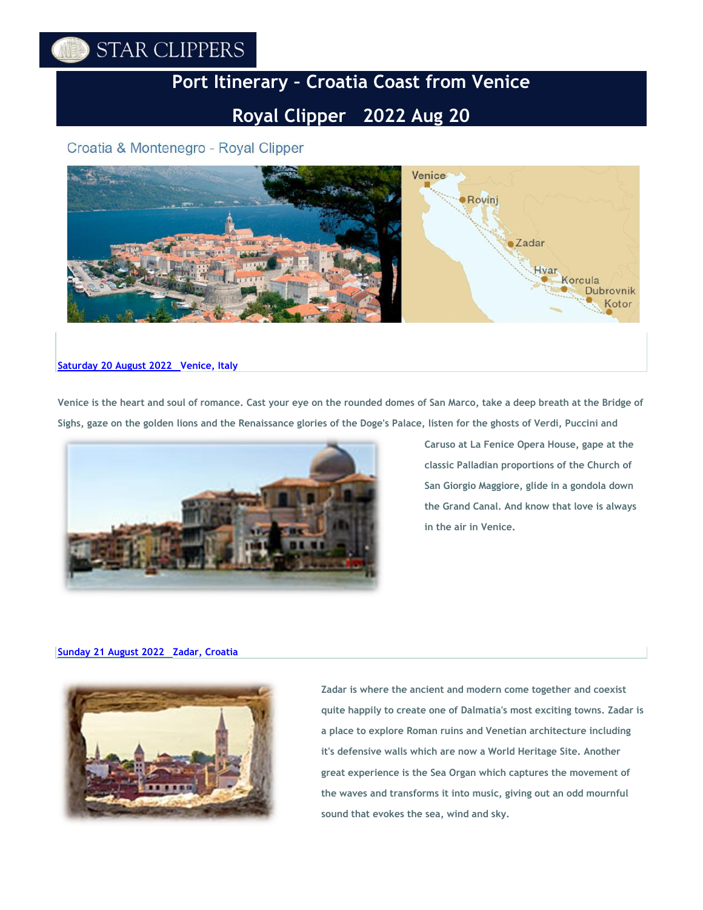# STAR CLIPPERS

# **Port Itinerary – Croatia Coast from Venice**

# **Royal Clipper 2022 Aug 20**

# Croatia & Montenegro - Royal Clipper



## **Saturday 20 August [2022 Venice,](https://www.starclippers.com/us-dom/search.html) Italy**

**Venice is the heart and soul of romance. Cast your eye on the rounded domes of San Marco, take a deep breath at the Bridge of Sighs, gaze on the golden lions and the Renaissance glories of the Doge's Palace, listen for the ghosts of Verdi, Puccini and**



**Caruso at La Fenice Opera House, gape at the classic Palladian proportions of the Church of San Giorgio Maggiore, glide in a gondola down the Grand Canal. And know that love is always in the air in Venice.**

### **Sunday 21 August [2022 Zadar,](https://www.starclippers.com/us-dom/search.html) Croatia**



**Zadar is where the ancient and modern come together and coexist quite happily to create one of Dalmatia's most exciting towns. Zadar is a place to explore Roman ruins and Venetian architecture including it's defensive walls which are now a World Heritage Site. Another great experience is the Sea Organ which captures the movement of the waves and transforms it into music, giving out an odd mournful sound that evokes the sea, wind and sky.**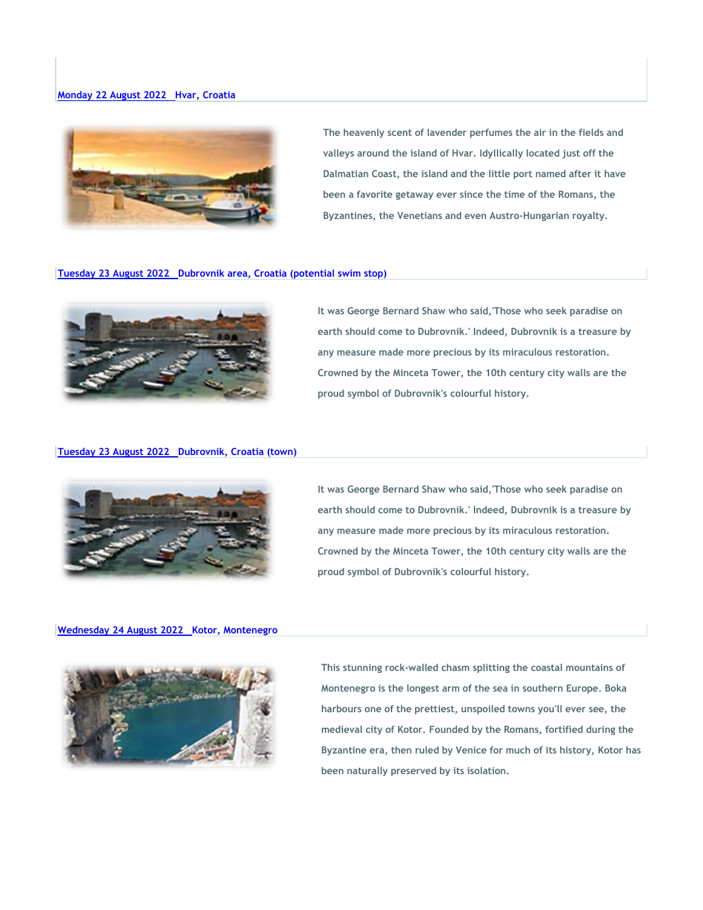

**The heavenly scent of lavender perfumes the air in the fields and valleys around the island of Hvar. Idyllically located just off the Dalmatian Coast, the island and the little port named after it have been a favorite getaway ever since the time of the Romans, the Byzantines, the Venetians and even Austro-Hungarian royalty.**

#### **Tuesday 23 August [2022 Dubrovnik](https://www.starclippers.com/us-dom/search.html) area, Croatia (potential swim stop)**



**It was George Bernard Shaw who said,'Those who seek paradise on earth should come to Dubrovnik.' Indeed, Dubrovnik is a treasure by any measure made more precious by its miraculous restoration. Crowned by the Minceta Tower, the 10th century city walls are the proud symbol of Dubrovnik's colourful history.**

### **Tuesday 23 August [2022 Dubrovnik,](https://www.starclippers.com/us-dom/search.html) Croatia (town)**



**It was George Bernard Shaw who said,'Those who seek paradise on earth should come to Dubrovnik.' Indeed, Dubrovnik is a treasure by any measure made more precious by its miraculous restoration. Crowned by the Minceta Tower, the 10th century city walls are the proud symbol of Dubrovnik's colourful history.**

#### **Wednesday 24 August [2022 Kotor,](https://www.starclippers.com/us-dom/search.html) Montenegro**



**This stunning rock-walled chasm splitting the coastal mountains of Montenegro is the longest arm of the sea in southern Europe. Boka harbours one of the prettiest, unspoiled towns you'll ever see, the medieval city of Kotor. Founded by the Romans, fortified during the Byzantine era, then ruled by Venice for much of its history, Kotor has been naturally preserved by its isolation.**